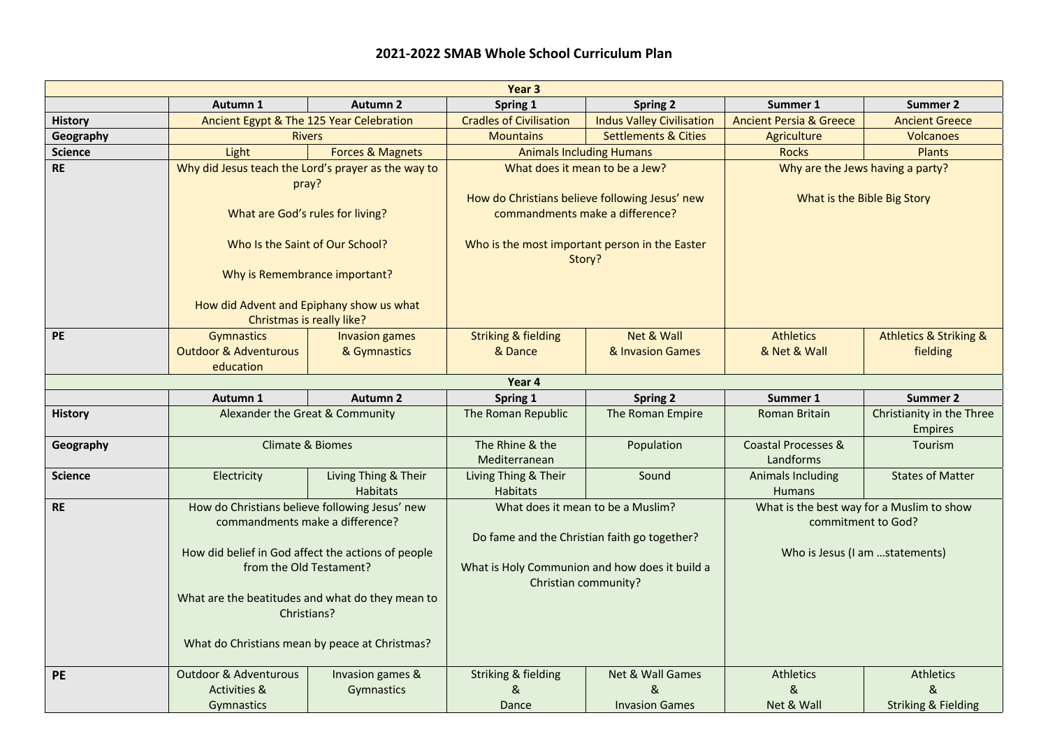## **2021-2022 SMAB Whole School Curriculum Plan**

| Year <sub>3</sub> |                                                                               |                                                |                                                                        |                                   |                                    |                                                                 |  |  |  |  |
|-------------------|-------------------------------------------------------------------------------|------------------------------------------------|------------------------------------------------------------------------|-----------------------------------|------------------------------------|-----------------------------------------------------------------|--|--|--|--|
|                   | Autumn 1                                                                      | <b>Autumn 2</b>                                | Spring 1                                                               | <b>Spring 2</b>                   | Summer 1                           | Summer 2                                                        |  |  |  |  |
| <b>History</b>    | Ancient Egypt & The 125 Year Celebration                                      |                                                | <b>Cradles of Civilisation</b>                                         | <b>Indus Valley Civilisation</b>  | <b>Ancient Persia &amp; Greece</b> | <b>Ancient Greece</b>                                           |  |  |  |  |
| Geography         | <b>Rivers</b>                                                                 |                                                | <b>Mountains</b>                                                       | <b>Settlements &amp; Cities</b>   | Agriculture                        | <b>Volcanoes</b>                                                |  |  |  |  |
| <b>Science</b>    | Light                                                                         | <b>Forces &amp; Magnets</b>                    | <b>Animals Including Humans</b>                                        |                                   | <b>Rocks</b>                       | <b>Plants</b>                                                   |  |  |  |  |
| <b>RE</b>         | Why did Jesus teach the Lord's prayer as the way to                           |                                                | What does it mean to be a Jew?                                         |                                   | Why are the Jews having a party?   |                                                                 |  |  |  |  |
|                   | pray?                                                                         |                                                |                                                                        |                                   |                                    |                                                                 |  |  |  |  |
|                   |                                                                               |                                                | How do Christians believe following Jesus' new                         |                                   | What is the Bible Big Story        |                                                                 |  |  |  |  |
|                   | What are God's rules for living?                                              |                                                | commandments make a difference?                                        |                                   |                                    |                                                                 |  |  |  |  |
|                   |                                                                               |                                                |                                                                        |                                   |                                    |                                                                 |  |  |  |  |
|                   | Who Is the Saint of Our School?                                               |                                                | Who is the most important person in the Easter<br>Story?               |                                   |                                    |                                                                 |  |  |  |  |
|                   | Why is Remembrance important?                                                 |                                                |                                                                        |                                   |                                    |                                                                 |  |  |  |  |
|                   | How did Advent and Epiphany show us what                                      |                                                |                                                                        |                                   |                                    |                                                                 |  |  |  |  |
|                   | Christmas is really like?                                                     |                                                |                                                                        |                                   |                                    |                                                                 |  |  |  |  |
| <b>PE</b>         | Gymnastics                                                                    | <b>Invasion games</b>                          | <b>Striking &amp; fielding</b>                                         | Net & Wall                        | <b>Athletics</b>                   | <b>Athletics &amp; Striking &amp;</b>                           |  |  |  |  |
|                   | <b>Outdoor &amp; Adventurous</b>                                              | & Gymnastics                                   | & Dance                                                                | & Invasion Games                  | & Net & Wall                       | fielding                                                        |  |  |  |  |
|                   | education                                                                     |                                                |                                                                        |                                   |                                    |                                                                 |  |  |  |  |
|                   |                                                                               |                                                | Year 4                                                                 |                                   |                                    |                                                                 |  |  |  |  |
|                   | Autumn 1                                                                      | <b>Autumn 2</b>                                | Spring 1                                                               | <b>Spring 2</b>                   | Summer 1                           | Summer 2                                                        |  |  |  |  |
| <b>History</b>    | Alexander the Great & Community                                               |                                                | The Roman Republic                                                     | The Roman Empire                  | Roman Britain                      | Christianity in the Three                                       |  |  |  |  |
|                   |                                                                               |                                                |                                                                        |                                   |                                    | <b>Empires</b>                                                  |  |  |  |  |
| Geography         | Climate & Biomes                                                              |                                                | The Rhine & the                                                        | Population                        | Coastal Processes &                | Tourism                                                         |  |  |  |  |
|                   |                                                                               |                                                | Mediterranean                                                          |                                   | Landforms                          |                                                                 |  |  |  |  |
| <b>Science</b>    | Electricity                                                                   | Living Thing & Their                           | Living Thing & Their                                                   | Sound                             | <b>Animals Including</b>           | <b>States of Matter</b>                                         |  |  |  |  |
|                   |                                                                               | <b>Habitats</b>                                | <b>Habitats</b>                                                        |                                   | <b>Humans</b>                      |                                                                 |  |  |  |  |
| RE                |                                                                               | How do Christians believe following Jesus' new |                                                                        | What does it mean to be a Muslim? |                                    | What is the best way for a Muslim to show<br>commitment to God? |  |  |  |  |
|                   | commandments make a difference?                                               |                                                | Do fame and the Christian faith go together?                           |                                   |                                    |                                                                 |  |  |  |  |
|                   | How did belief in God affect the actions of people<br>from the Old Testament? |                                                | What is Holy Communion and how does it build a<br>Christian community? |                                   | Who is Jesus (I am statements)     |                                                                 |  |  |  |  |
|                   |                                                                               |                                                |                                                                        |                                   |                                    |                                                                 |  |  |  |  |
|                   |                                                                               |                                                |                                                                        |                                   |                                    |                                                                 |  |  |  |  |
|                   | What are the beatitudes and what do they mean to                              |                                                |                                                                        |                                   |                                    |                                                                 |  |  |  |  |
|                   | Christians?                                                                   |                                                |                                                                        |                                   |                                    |                                                                 |  |  |  |  |
|                   |                                                                               |                                                |                                                                        |                                   |                                    |                                                                 |  |  |  |  |
|                   | What do Christians mean by peace at Christmas?                                |                                                |                                                                        |                                   |                                    |                                                                 |  |  |  |  |
|                   |                                                                               |                                                |                                                                        |                                   |                                    |                                                                 |  |  |  |  |
| <b>PE</b>         | <b>Outdoor &amp; Adventurous</b><br><b>Activities &amp;</b>                   | Invasion games &<br>Gymnastics                 | <b>Striking &amp; fielding</b><br>&                                    | Net & Wall Games<br>&             | <b>Athletics</b><br>&              | Athletics<br>&                                                  |  |  |  |  |
|                   | <b>Gymnastics</b>                                                             |                                                | Dance                                                                  | <b>Invasion Games</b>             | Net & Wall                         | <b>Striking &amp; Fielding</b>                                  |  |  |  |  |